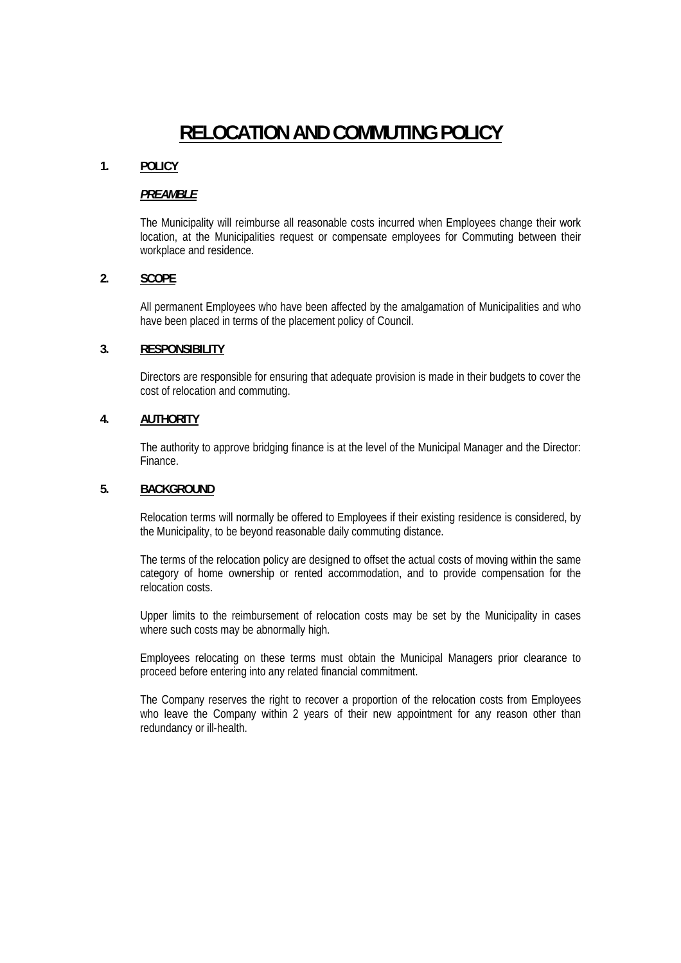# **RELOCATION AND COMMUTING POLICY**

# **1. POLICY**

#### *PREAMBLE*

The Municipality will reimburse all reasonable costs incurred when Employees change their work location, at the Municipalities request or compensate employees for Commuting between their workplace and residence.

#### **2. SCOPE**

All permanent Employees who have been affected by the amalgamation of Municipalities and who have been placed in terms of the placement policy of Council.

### **3. RESPONSIBILITY**

Directors are responsible for ensuring that adequate provision is made in their budgets to cover the cost of relocation and commuting.

# **4. AUTHORITY**

The authority to approve bridging finance is at the level of the Municipal Manager and the Director: Finance.

#### **5. BACKGROUND**

Relocation terms will normally be offered to Employees if their existing residence is considered, by the Municipality, to be beyond reasonable daily commuting distance.

The terms of the relocation policy are designed to offset the actual costs of moving within the same category of home ownership or rented accommodation, and to provide compensation for the relocation costs.

Upper limits to the reimbursement of relocation costs may be set by the Municipality in cases where such costs may be abnormally high.

Employees relocating on these terms must obtain the Municipal Managers prior clearance to proceed before entering into any related financial commitment.

The Company reserves the right to recover a proportion of the relocation costs from Employees who leave the Company within 2 years of their new appointment for any reason other than redundancy or ill-health.